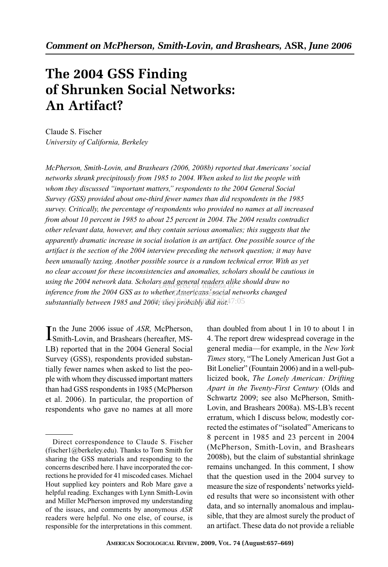# **The 2004 GSS Finding of Shrunken Social Networks: An Artifact?**

Claude S. Fischer *University of California, Berkeley*

*McPherson, Smith-Lovin, and Brashears (2006, 2008b) reported that Americans' social networks shrank precipitously from 1985 to 2004. When asked to list the people with whom they discussed "important matters," respondents to the 2004 General Social Survey (GSS) provided about one-third fewer names than did respondents in the 1985 survey. Critically, the percentage of respondents who provided no names at all increased from about 10 percent in 1985 to about 25 percent in 2004. The 2004 results contradict other relevant data, however, and they contain serious anomalies; this suggests that the apparently dramatic increase in social isolation is an artifact. One possible source of the artifact is the section of the 2004 interview preceding the network question; it may have been unusually taxing. Another possible source is a random technical error. With as yet no clear account for these inconsistencies and anomalies, scholars should be cautious in* using the 2004 network data. Scholars and general readers alike should draw no inference from the 2004 GSS as to whether Americanse social networks changed *substantially between 1985 and 2004; they probably did not.* Wed, 19 Aug 2009 20:47:05

In the June 2006 issue of ASR, McPherson,<br>Smith-Lovin, and Brashears (hereafter, MSn the June 2006 issue of *ASR,* McPherson, LB) reported that in the 2004 General Social Survey (GSS), respondents provided substantially fewer names when asked to list the people with whom they discussed important matters than had GSS respondents in 1985 (McPherson et al. 2006). In particular, the proportion of respondents who gave no names at all more

than doubled from about 1 in 10 to about 1 in 4. The report drew widespread coverage in the general media—for example, in the *New York Times* story, "The Lonely American Just Got a Bit Lonelier" (Fountain 2006) and in a well-publicized book, *The Lonely American: Drifting Apart in the Twenty-First Century* (Olds and Schwartz 2009; see also McPherson, Smith-Lovin, and Brashears 2008a). MS-LB's recent erratum, which I discuss below, modestly corrected the estimates of "isolated" Americans to 8 percent in 1985 and 23 percent in 2004 (McPherson, Smith-Lovin, and Brashears 2008b), but the claim of substantial shrinkage remains unchanged. In this comment, I show that the question used in the 2004 survey to measure the size of respondents'networks yielded results that were so inconsistent with other data, and so internally anomalous and implausible, that they are almost surely the product of an artifact. These data do not provide a reliable

Direct correspondence to Claude S. Fischer (fischer1@berkeley.edu). Thanks to Tom Smith for sharing the GSS materials and responding to the concerns described here. I have incorporated the corrections he provided for 41 miscoded cases. Michael Hout supplied key pointers and Rob Mare gave a helpful reading. Exchanges with Lynn Smith-Lovin and Miller McPherson improved my understanding of the issues, and comments by anonymous *ASR* readers were helpful. No one else, of course, is responsible for the interpretations in this comment.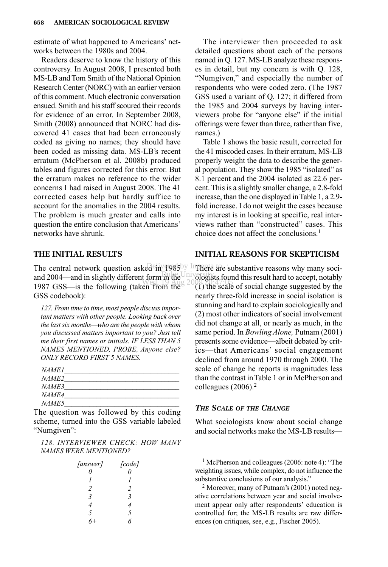estimate of what happened to Americans' networks between the 1980s and 2004.

Readers deserve to know the history of this controversy. In August 2008, I presented both MS-LB and Tom Smith of the National Opinion Research Center (NORC) with an earlier version of this comment. Much electronic conversation ensued. Smith and his staff scoured their records for evidence of an error. In September 2008, Smith (2008) announced that NORC had discovered 41 cases that had been erroneously coded as giving no names; they should have been coded as missing data. MS-LB's recent erratum (McPherson et al. 2008b) produced tables and figures corrected for this error. But the erratum makes no reference to the wider concerns I had raised in August 2008. The 41 corrected cases help but hardly suffice to account for the anomalies in the 2004 results. The problem is much greater and calls into question the entire conclusion that Americans' networks have shrunk.

# **THE INITIAL RESULTS**

The central network question asked  $\frac{1}{2}$  in 1985 in Instead are substantive reasons why many sociand  $2004$ —and in slightly different form in the  $\frac{1}{20}$  ologis 1987 GSS—is the following (taken from the  $(1)$  the scale GSS codebook):

*127. From time to time, most people discuss important matters with other people. Looking back over the last six months—who are the people with whom you discussed matters important to you? Just tell me their first names or initials. IF LESS THAN 5 NAMES MENTIONED, PROBE, Anyone else? ONLY RECORD FIRST 5 NAMES.*

| <i>NAME1</i> |  |
|--------------|--|
| <i>NAME2</i> |  |
| <i>NAME3</i> |  |
| <i>NAME4</i> |  |
| <i>NAME5</i> |  |

The question was followed by this coding scheme, turned into the GSS variable labeled "Numgiven":

*128. INTERVIEWER CHECK: HOW MANY NAMES WERE MENTIONED?*

| [answer]                | [code]                  |
|-------------------------|-------------------------|
| 0                       | 0                       |
| $\prime$                | $\prime$                |
| 2                       | 2                       |
| $\overline{\mathbf{3}}$ | $\overline{\mathbf{3}}$ |
| 4                       | 4                       |
| 5                       | 5                       |
| 6+                      | h                       |

The interviewer then proceeded to ask detailed questions about each of the persons named in Q. 127. MS-LB analyze these responses in detail, but my concern is with Q. 128, "Numgiven," and especially the number of respondents who were coded zero. (The 1987 GSS used a variant of Q. 127; it differed from the 1985 and 2004 surveys by having interviewers probe for "anyone else" if the initial offerings were fewer than three, rather than five, names.)

Table 1 shows the basic result, corrected for the 41 miscoded cases. In their erratum, MS-LB properly weight the data to describe the general population. They show the 1985 "isolated" as 8.1 percent and the 2004 isolated as 22.6 percent. This is a slightly smaller change, a 2.8-fold increase, than the one displayed in Table 1, a 2.9 fold increase. I do not weight the cases because my interest is in looking at specific, real interviews rather than "constructed" cases. This choice does not affect the conclusions.<sup>1</sup>

# **INITIAL REASONS FOR SKEPTICISM**

ologists found this result hard to accept, notably (1) the scale of social change suggested by the nearly three-fold increase in social isolation is stunning and hard to explain sociologically and (2) most other indicators of social involvement did not change at all, or nearly as much, in the same period. In *Bowling Alone,* Putnam (2001) presents some evidence—albeit debated by critics—that Americans' social engagement declined from around 1970 through 2000. The scale of change he reports is magnitudes less than the contrast in Table 1 or in McPherson and colleagues (2006).<sup>2</sup>

#### *THE SCALE OF THE CHANGE*

What sociologists know about social change and social networks make the MS-LB results—

<sup>1</sup> McPherson and colleagues (2006: note 4): "The weighting issues, while complex, do not influence the substantive conclusions of our analysis."

<sup>2</sup> Moreover, many of Putnam's (2001) noted negative correlations between year and social involvement appear only after respondents' education is controlled for; the MS-LB results are raw differences (on critiques, see, e.g., Fischer 2005).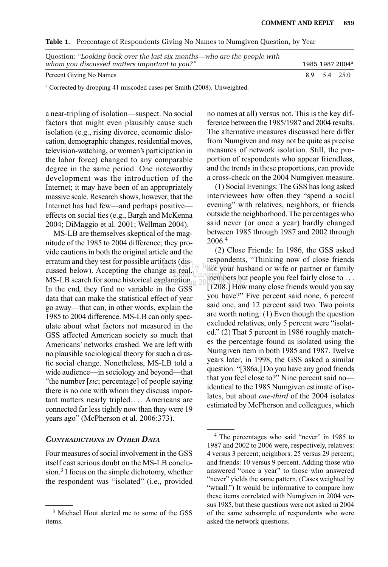**Table 1.** Percentage of Respondents Giving No Names to Numgiven Question, by Year

| Question: "Looking back over the last six months—who are the people with<br>whom you discussed matters important to you?" |  | 1985 1987 2004 <sup>a</sup> |
|---------------------------------------------------------------------------------------------------------------------------|--|-----------------------------|
| Percent Giving No Names                                                                                                   |  | 8.9 5.4 25.0                |

<sup>a</sup> Corrected by dropping 41 miscoded cases per Smith (2008). Unweighted.

a near-tripling of isolation—suspect. No social factors that might even plausibly cause such isolation (e.g., rising divorce, economic dislocation, demographic changes, residential moves, television-watching, or women's participation in the labor force) changed to any comparable degree in the same period. One noteworthy development was the introduction of the Internet; it may have been of an appropriately massive scale. Research shows, however, that the Internet has had few—and perhaps positive effects on social ties (e.g., Bargh and McKenna 2004; DiMaggio et al. 2001; Wellman 2004).

MS-LB are themselves skeptical of the magnitude of the 1985 to 2004 difference; they provide cautions in both the original article and the erratum and they test for possible artifacts (discussed below). Accepting the change as real, MS-LB search for some historical explanation. 2009 2009 20:47:05 In the end, they find no variable in the GSS data that can make the statistical effect of year go away—that can, in other words, explain the 1985 to 2004 difference. MS-LB can only speculate about what factors not measured in the GSS affected American society so much that Americans' networks crashed. We are left with no plausible sociological theory for such a drastic social change. Nonetheless, MS-LB told a wide audience—in sociology and beyond—that "the number [*sic*; percentage] of people saying there is no one with whom they discuss important matters nearly tripled.... Americans are connected far less tightly now than they were 19 years ago" (McPherson et al. 2006:373).

## *CONTRADICTIONS IN OTHER DATA*

Four measures of social involvement in the GSS itself cast serious doubt on the MS-LB conclusion.<sup>3</sup> I focus on the simple dichotomy, whether the respondent was "isolated" (i.e., provided no names at all) versus not. This is the key difference between the 1985/1987 and 2004 results. The alternative measures discussed here differ from Numgiven and may not be quite as precise measures of network isolation. Still, the proportion of respondents who appear friendless, and the trends in these proportions, can provide a cross-check on the 2004 Numgiven measure.

(1) Social Evenings: The GSS has long asked interviewees how often they "spend a social evening" with relatives, neighbors, or friends outside the neighborhood. The percentages who said never (or once a year) hardly changed between 1985 through 1987 and 2002 through 2006.<sup>4</sup>

(2) Close Friends: In 1986, the GSS asked respondents, "Thinking now of close friends nativered by Ingentalia husband or wife or partner or family  $\lim_{n \to \infty} \lim_{n \to \infty} \lim_{n \to \infty} \frac{\log n}{n}$  but people you feel fairly close to ... [1208.] How many close friends would you say you have?" Five percent said none, 6 percent said one, and 12 percent said two. Two points are worth noting: (1) Even though the question excluded relatives, only 5 percent were "isolated." (2) That 5 percent in 1986 roughly matches the percentage found as isolated using the Numgiven item in both 1985 and 1987. Twelve years later, in 1998, the GSS asked a similar question: "[386a.] Do you have any good friends that you feel close to?" Nine percent said no identical to the 1985 Numgiven estimate of isolates, but about *one-third* of the 2004 isolates estimated by McPherson and colleagues, which

<sup>&</sup>lt;sup>3</sup> Michael Hout alerted me to some of the GSS items.

<sup>4</sup> The percentages who said "never" in 1985 to 1987 and 2002 to 2006 were, respectively, relatives: 4 versus 3 percent; neighbors: 25 versus 29 percent; and friends: 10 versus 9 percent. Adding those who answered "once a year" to those who answered "never" yields the same pattern. (Cases weighted by "wtsall.") It would be informative to compare how these items correlated with Numgiven in 2004 versus 1985, but these questions were not asked in 2004 of the same subsample of respondents who were asked the network questions.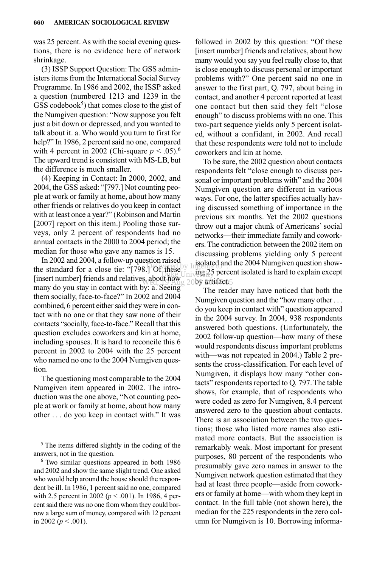was 25 percent. As with the social evening questions, there is no evidence here of network shrinkage.

(3) ISSP Support Question: The GSS administers items from the International Social Survey Programme. In 1986 and 2002, the ISSP asked a question (numbered 1213 and 1239 in the  $GSS \text{ codebook}^5$ ) that comes close to the gist of the Numgiven question: "Now suppose you felt just a bit down or depressed, and you wanted to talk about it. a. Who would you turn to first for help?" In 1986, 2 percent said no one, compared with 4 percent in 2002 (Chi-square  $p < .05$ ).<sup>6</sup> The upward trend is consistent with MS-LB, but the difference is much smaller.

(4) Keeping in Contact: In 2000, 2002, and 2004, the GSS asked: "[797.] Not counting people at work or family at home, about how many other friends or relatives do you keep in contact with at least once a year?" (Robinson and Martin [2007] report on this item.) Pooling those surveys, only 2 percent of respondents had no annual contacts in the 2000 to 2004 period; the median for those who gave any names is 15.

In 2002 and 2004, a follow-up question raised the standard for a close tie: " $[798.]\text{Of these}$  is  $25 \text{ per}$ [insert number] friends and relatives, about how many do you stay in contact with by: a. Seeing them socially, face-to-face?" In 2002 and 2004 combined, 6 percent either said they were in contact with no one or that they saw none of their contacts "socially, face-to-face." Recall that this question excludes coworkers and kin at home, including spouses. It is hard to reconcile this 6 percent in 2002 to 2004 with the 25 percent who named no one to the 2004 Numgiven question. **wed, 19 Aug 20by artifact** 

The questioning most comparable to the 2004 Numgiven item appeared in 2002. The introduction was the one above, "Not counting people at work or family at home, about how many other ... do you keep in contact with." It was

followed in 2002 by this question: "Of these [insert number] friends and relatives, about how many would you say you feel really close to, that is close enough to discuss personal or important problems with?" One percent said no one in answer to the first part, Q. 797, about being in contact, and another 4 percent reported at least one contact but then said they felt "close enough" to discuss problems with no one. This two-part sequence yields only 5 percent isolated, without a confidant, in 2002. And recall that these respondents were told not to include coworkers and kin at home.

To be sure, the 2002 question about contacts respondents felt "close enough to discuss personal or important problems with" and the 2004 Numgiven question are different in various ways. For one, the latter specifies actually having discussed something of importance in the previous six months. Yet the 2002 questions throw out a major chunk of Americans' social networks—their immediate family and coworkers. The contradiction between the 2002 item on discussing problems yielding only 5 percent isolated and the 2004 Numgiven question show- $\frac{1}{2}$  mese Univing 25 percent isolated is hard to explain except

> The reader may have noticed that both the Numgiven question and the "how many other ... do you keep in contact with" question appeared in the 2004 survey. In 2004, 938 respondents answered both questions. (Unfortunately, the 2002 follow-up question—how many of these would respondents discuss important problems with—was not repeated in 2004.) Table 2 presents the cross-classification. For each level of Numgiven, it displays how many "other contacts" respondents reported to Q. 797. The table shows, for example, that of respondents who were coded as zero for Numgiven, 8.4 percent answered zero to the question about contacts. There is an association between the two questions; those who listed more names also estimated more contacts. But the association is remarkably weak. Most important for present purposes, 80 percent of the respondents who presumably gave zero names in answer to the Numgiven network question estimated that they had at least three people—aside from coworkers or family at home—with whom they kept in contact. In the full table (not shown here), the median for the 225 respondents in the zero column for Numgiven is 10. Borrowing informa-

<sup>5</sup> The items differed slightly in the coding of the answers, not in the question.

<sup>6</sup> Two similar questions appeared in both 1986 and 2002 and show the same slight trend. One asked who would help around the house should the respondent be ill. In 1986, 1 percent said no one, compared with 2.5 percent in 2002 (*p* < .001). In 1986, 4 percent said there was no one from whom they could borrow a large sum of money, compared with 12 percent in 2002 ( $p < .001$ ).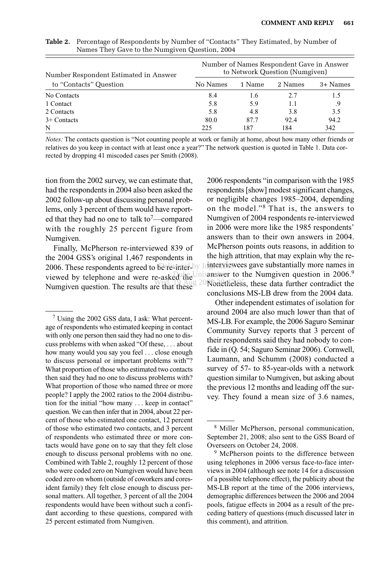| Number Respondent Estimated in Answer | Number of Names Respondent Gave in Answer<br>to Network Question (Numgiven) |        |         |          |  |
|---------------------------------------|-----------------------------------------------------------------------------|--------|---------|----------|--|
| to "Contacts" Question                | No Names                                                                    | 1 Name | 2 Names | 3+ Names |  |
| No Contacts                           | 8.4                                                                         | 1.6    | 2.7     | 1.5      |  |
| 1 Contact                             | 5.8                                                                         | 5.9    | 1.1     | .9       |  |
| 2 Contacts                            | 5.8                                                                         | 4.8    | 3.8     | 3.5      |  |
| $3+$ Contacts                         | 80.0                                                                        | 87.7   | 92.4    | 94.2     |  |
| N                                     | 225                                                                         | 187    | 184     | 342      |  |

**Table 2.** Percentage of Respondents by Number of "Contacts" They Estimated, by Number of Names They Gave to the Numgiven Question, 2004

*Notes:* The contacts question is "Not counting people at work or family at home, about how many other friends or relatives do you keep in contact with at least once a year?" The network question is quoted in Table 1. Data corrected by dropping 41 miscoded cases per Smith (2008).

tion from the 2002 survey, we can estimate that, had the respondents in 2004 also been asked the 2002 follow-up about discussing personal problems, only 3 percent of them would have reported that they had no one to talk to<sup>7</sup>—compared with the roughly 25 percent figure from Numgiven.

Finally, McPherson re-interviewed 839 of the 2004 GSS's original 1,467 respondents in 2006. These respondents agreed to be re-impal by Ingterviewees gave substantially more names in viewed by telephone and were re-asked the Numgiven question. The results are that these

2006 respondents "in comparison with the 1985 respondents [show] modest significant changes, or negligible changes 1985–2004, depending on the model."<sup>8</sup> That is, the answers to Numgiven of 2004 respondents re-interviewed in 2006 were more like the 1985 respondents' answers than to their own answers in 2004. McPherson points outs reasons, in addition to the high attrition, that may explain why the re-Duke Univanswer to the Numgiven question in 2006.<sup>9</sup>  $W_{\text{eff}}^{\text{max}}$  and  $20$  Nonetheless, these data further contradict the conclusions MS-LB drew from the 2004 data.

> Other independent estimates of isolation for around 2004 are also much lower than that of MS-LB. For example, the 2006 Saguro Seminar Community Survey reports that 3 percent of their respondents said they had nobody to confide in (Q. 54; Saguro Seminar 2006). Cornwell, Laumann, and Schumm (2008) conducted a survey of 57- to 85-year-olds with a network question similar to Numgiven, but asking about the previous 12 months and leading off the survey. They found a mean size of 3.6 names,

<sup>7</sup> Using the 2002 GSS data, I ask: What percentage of respondents who estimated keeping in contact with only one person then said they had no one to discuss problems with when asked "Of these, ... about how many would you say you feel ... close enough to discuss personal or important problems with"? What proportion of those who estimated two contacts then said they had no one to discuss problems with? What proportion of those who named three or more people? I apply the 2002 ratios to the 2004 distribution for the initial "how many ... keep in contact" question. We can then infer that in 2004, about 22 percent of those who estimated one contact, 12 percent of those who estimated two contacts, and 3 percent of respondents who estimated three or more contacts would have gone on to say that they felt close enough to discuss personal problems with no one. Combined with Table 2, roughly 12 percent of those who were coded zero on Numgiven would have been coded zero on whom (outside of coworkers and coresident family) they felt close enough to discuss personal matters. All together, 3 percent of all the 2004 respondents would have been without such a confidant according to these questions, compared with 25 percent estimated from Numgiven.

<sup>8</sup> Miller McPherson, personal communication, September 21, 2008; also sent to the GSS Board of Overseers on October 24, 2008.

<sup>&</sup>lt;sup>9</sup> McPherson points to the difference between using telephones in 2006 versus face-to-face interviews in 2004 (although see note 14 for a discussion of a possible telephone effect), the publicity about the MS-LB report at the time of the 2006 interviews, demographic differences between the 2006 and 2004 pools, fatigue effects in 2004 as a result of the preceding battery of questions (much discussed later in this comment), and attrition.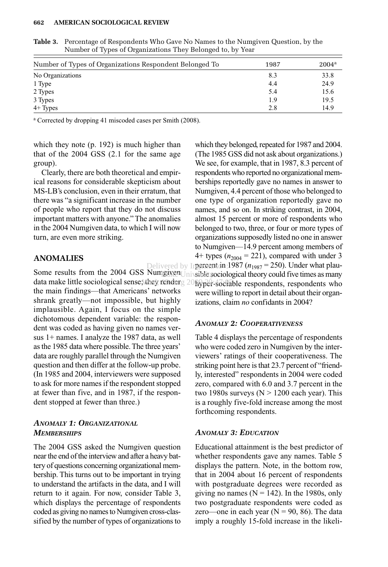#### **662—–AMERICAN SOCIOLOGICAL REVIEW**

| Number of Types of Organizations Respondent Belonged To | 1987 | $2004^{\rm a}$ |
|---------------------------------------------------------|------|----------------|
| No Organizations                                        | 8.3  | 33.8           |
| 1 Type                                                  | 4.4  | 24.9           |
| 2 Types                                                 | 5.4  | 15.6           |
| 3 Types                                                 | 1.9  | 19.5           |
| $4+$ Types                                              | 2.8  | 14.9           |

**Table 3.** Percentage of Respondents Who Gave No Names to the Numgiven Question, by the Number of Types of Organizations They Belonged to, by Year

<sup>a</sup> Corrected by dropping 41 miscoded cases per Smith (2008).

which they note (p. 192) is much higher than that of the 2004 GSS (2.1 for the same age group).

Clearly, there are both theoretical and empirical reasons for considerable skepticism about MS-LB's conclusion, even in their erratum, that there was "a significant increase in the number of people who report that they do not discuss important matters with anyone." The anomalies in the 2004 Numgiven data, to which I will now turn, are even more striking.

# **ANOMALIES**

data make little sociological sense; they render a 2009 per-sociable respondents, respondents who the main findings—that Americans' networks shrank greatly—not impossible, but highly implausible. Again, I focus on the simple dichotomous dependent variable: the respondent was coded as having given no names versus 1+ names. I analyze the 1987 data, as well as the 1985 data where possible. The three years' data are roughly parallel through the Numgiven question and then differ at the follow-up probe. (In 1985 and 2004, interviewers were supposed to ask for more names if the respondent stopped at fewer than five, and in 1987, if the respondent stopped at fewer than three.) 1guvenUnivsiblets

# *ANOMALY 1: ORGANIZATIONAL MEMBERSHIPS*

The 2004 GSS asked the Numgiven question near the end of the interview and after a heavy battery of questions concerning organizational membership. This turns out to be important in trying to understand the artifacts in the data, and I will return to it again. For now, consider Table 3, which displays the percentage of respondents coded as giving no names to Numgiven cross-classified by the number of types of organizations to

Delivered by In**gereent in 1987** ( $n_{1987} = 250$ ). Under what plau-<br>Some results from the 2004 GSS Numgiven University sociological theory could five times as many which they belonged, repeated for 1987 and 2004. (The 1985 GSS did not ask about organizations.) We see, for example, that in 1987, 8.3 percent of respondents who reported no organizational memberships reportedly gave no names in answer to Numgiven, 4.4 percent of those who belonged to one type of organization reportedly gave no names, and so on. In striking contrast, in 2004, almost 15 percent or more of respondents who belonged to two, three, or four or more types of organizations supposedly listed no one in answer to Numgiven—14.9 percent among members of 4+ types  $(n_{2004} = 221)$ , compared with under 3 sible sociological theory could five times as many were willing to report in detail about their organizations, claim *no* confidants in 2004? Delivered by Ingeneemtan:

# *ANOMALY 2: COOPERATIVENESS*

Table 4 displays the percentage of respondents who were coded zero in Numgiven by the interviewers' ratings of their cooperativeness. The striking point here is that 23.7 percent of "friendly, interested" respondents in 2004 were coded zero, compared with 6.0 and 3.7 percent in the two 1980s surveys ( $N > 1200$  each year). This is a roughly five-fold increase among the most forthcoming respondents.

## *ANOMALY 3: EDUCATION*

Educational attainment is the best predictor of whether respondents gave any names. Table 5 displays the pattern. Note, in the bottom row, that in 2004 about 16 percent of respondents with postgraduate degrees were recorded as giving no names ( $N = 142$ ). In the 1980s, only two postgraduate respondents were coded as zero—one in each year  $(N = 90, 86)$ . The data imply a roughly 15-fold increase in the likeli-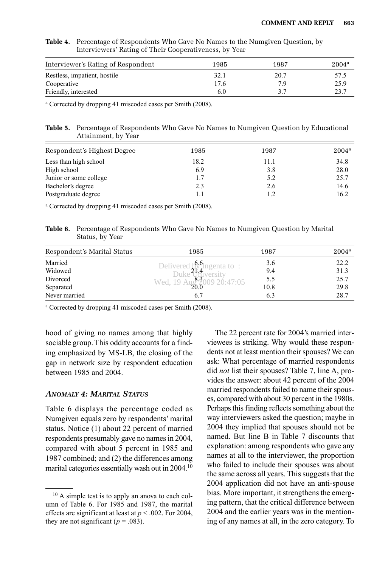| Interviewers Rating of Their Cooperativeness, by rear<br>Interviewer's Rating of Respondent<br>$2004^{\rm a}$<br>1985<br>1987 |      |    |      |  |  |  |
|-------------------------------------------------------------------------------------------------------------------------------|------|----|------|--|--|--|
|                                                                                                                               |      |    |      |  |  |  |
| Cooperative                                                                                                                   | 17.6 | 79 | 25.9 |  |  |  |
| Friendly, interested                                                                                                          | 6.0  |    | 23.7 |  |  |  |

**Table 4.** Percentage of Respondents Who Gave No Names to the Numgiven Question, by Interviewers' Rating of Their Cooperativeness, by Year

<sup>a</sup> Corrected by dropping 41 miscoded cases per Smith (2008).

**Table 5.** Percentage of Respondents Who Gave No Names to Numgiven Question by Educational Attainment, by Year

| Respondent's Highest Degree | 1985 | 1987 | $2004^{\rm a}$ |
|-----------------------------|------|------|----------------|
| Less than high school       | 18.2 | 11.1 | 34.8           |
| High school                 | 6.9  | 3.8  | 28.0           |
| Junior or some college      | 1.7  | 5.2  | 25.7           |
| Bachelor's degree           | 2.3  | 2.6  | 14.6           |
| Postgraduate degree         |      |      | 16.2           |

<sup>a</sup> Corrected by dropping 41 miscoded cases per Smith (2008).

**Table 6.** Percentage of Respondents Who Gave No Names to Numgiven Question by Marital Status, by Year

| Respondent's Marital Status | 1985                                                 | 1987 | $2004^{\rm a}$ |
|-----------------------------|------------------------------------------------------|------|----------------|
| Married                     |                                                      | 3.6  | 22.2           |
| Widowed                     | Delivered $b_1^{6,6}$ Ingenta to:<br>Duke University | 9.4  | 31.3           |
| Divorced                    | Wed, 19 Au $\frac{8200920:47:05}{$                   | 5.5  | 25.7           |
| Separated                   | 20.0                                                 | 10.8 | 29.8           |
| Never married               | 6.7                                                  | 6.3  | 28.7           |

<sup>a</sup> Corrected by dropping 41 miscoded cases per Smith (2008).

hood of giving no names among that highly sociable group. This oddity accounts for a finding emphasized by MS-LB, the closing of the gap in network size by respondent education between 1985 and 2004.

## *ANOMALY 4: MARITAL STATUS*

Table 6 displays the percentage coded as Numgiven equals zero by respondents' marital status. Notice (1) about 22 percent of married respondents presumably gave no names in 2004, compared with about 5 percent in 1985 and 1987 combined; and (2) the differences among marital categories essentially wash out in 2004.10

The 22 percent rate for 2004's married interviewees is striking. Why would these respondents not at least mention their spouses? We can ask: What percentage of married respondents did *not* list their spouses? Table 7, line A, provides the answer: about 42 percent of the 2004 married respondents failed to name their spouses, compared with about 30 percent in the 1980s. Perhaps this finding reflects something about the way interviewers asked the question; maybe in 2004 they implied that spouses should not be named. But line B in Table 7 discounts that explanation: among respondents who gave any names at all to the interviewer, the proportion who failed to include their spouses was about the same across all years. This suggests that the 2004 application did not have an anti-spouse bias. More important, it strengthens the emerging pattern, that the critical difference between 2004 and the earlier years was in the mentioning of any names at all, in the zero category. To

<sup>10</sup> A simple test is to apply an anova to each column of Table 6. For 1985 and 1987, the marital effects are significant at least at *p* < .002. For 2004, they are not significant ( $p = .083$ ).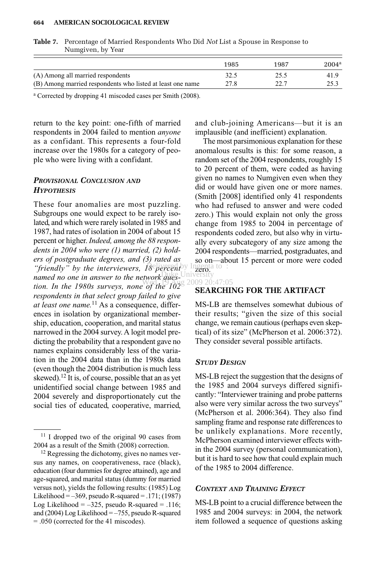#### **664—–AMERICAN SOCIOLOGICAL REVIEW**

|                                                            | 1985 | 1987 | $2004^{\rm a}$ |
|------------------------------------------------------------|------|------|----------------|
| (A) Among all married respondents                          | 32.5 | 25.5 | 41.9           |
| (B) Among married respondents who listed at least one name | 27.8 | 22.7 | 25.3           |

| <b>Table 7.</b> Percentage of Married Respondents Who Did Not List a Spouse in Response to |
|--------------------------------------------------------------------------------------------|
| Numgiven, by Year                                                                          |

<sup>a</sup> Corrected by dropping 41 miscoded cases per Smith (2008).

return to the key point: one-fifth of married respondents in 2004 failed to mention *anyone* as a confidant. This represents a four-fold increase over the 1980s for a category of people who were living with a confidant.

# *PROVISIONAL CONCLUSION AND HYPOTHESIS*

These four anomalies are most puzzling. Subgroups one would expect to be rarely isolated, and which were rarely isolated in 1985 and 1987, had rates of isolation in 2004 of about 15 percent or higher. *Indeed, among the 88 respondents in 2004 who were (1) married, (2) holders of postgraduate degrees, and (3) rated as* "friendly" by the interviewers, 18 percently Ingenta to : *named no one in answer to the network ques-* Duiversity<br>named no one in answer to the network ques*tion. In the 1980s surveys, none of the 102 respondents in that select group failed to give at least one name.*<sup>11</sup> As a consequence, differences in isolation by organizational membership, education, cooperation, and marital status narrowed in the 2004 survey. A logit model predicting the probability that a respondent gave no names explains considerably less of the variation in the 2004 data than in the 1980s data (even though the 2004 distribution is much less skewed).12 It is, of course, possible that an as yet unidentified social change between 1985 and 2004 severely and disproportionately cut the social ties of educated, cooperative, married,

and club-joining Americans—but it is an implausible (and inefficient) explanation.

The most parsimonious explanation for these anomalous results is this: for some reason, a random set of the 2004 respondents, roughly 15 to 20 percent of them, were coded as having given no names to Numgiven even when they did or would have given one or more names. (Smith [2008] identified only 41 respondents who had refused to answer and were coded zero.) This would explain not only the gross change from 1985 to 2004 in percentage of respondents coded zero, but also why in virtually every subcategory of any size among the 2004 respondents—married, postgraduates, and so on—about 15 percent or more were coded ngenta to

#### 2009 20:47:05

### **SEARCHING FOR THE ARTIFACT**

MS-LB are themselves somewhat dubious of their results; "given the size of this social change, we remain cautious (perhaps even skeptical) of its size" (McPherson et al. 2006:372). They consider several possible artifacts.

#### *STUDY DESIGN*

MS-LB reject the suggestion that the designs of the 1985 and 2004 surveys differed significantly: "Interviewer training and probe patterns also were very similar across the two surveys" (McPherson et al. 2006:364). They also find sampling frame and response rate differences to be unlikely explanations. More recently, McPherson examined interviewer effects within the 2004 survey (personal communication), but it is hard to see how that could explain much of the 1985 to 2004 difference.

### *CONTEXT AND TRAINING EFFECT*

MS-LB point to a crucial difference between the 1985 and 2004 surveys: in 2004, the network item followed a sequence of questions asking

<sup>&</sup>lt;sup>11</sup> I dropped two of the original 90 cases from 2004 as a result of the Smith (2008) correction.

<sup>&</sup>lt;sup>12</sup> Regressing the dichotomy, gives no names versus any names, on cooperativeness, race (black), education (four dummies for degree attained), age and age-squared, and marital status (dummy for married versus not), yields the following results: (1985) Log Likelihood =  $-369$ , pseudo R-squared = .171; (1987) Log Likelihood =  $-325$ , pseudo R-squared = .116; and (2004) Log Likelihood  $=-755$ , pseudo R-squared = .050 (corrected for the 41 miscodes).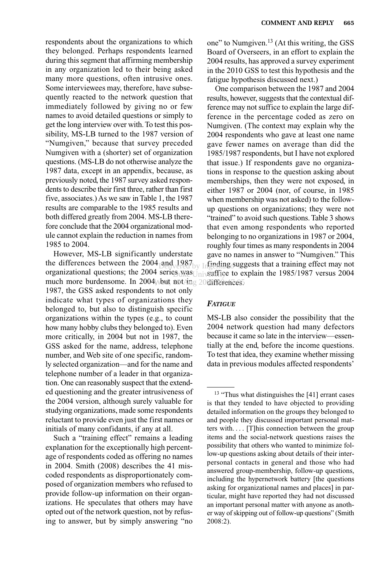respondents about the organizations to which they belonged. Perhaps respondents learned during this segment that affirming membership in any organization led to their being asked many more questions, often intrusive ones. Some interviewees may, therefore, have subsequently reacted to the network question that immediately followed by giving no or few names to avoid detailed questions or simply to get the long interview over with. To test this possibility, MS-LB turned to the 1987 version of "Numgiven," because that survey preceded Numgiven with a (shorter) set of organization questions. (MS-LB do not otherwise analyze the 1987 data, except in an appendix, because, as previously noted, the 1987 survey asked respondents to describe their first three, rather than first five, associates.) As we saw in Table 1, the 1987 results are comparable to the 1985 results and both differed greatly from 2004. MS-LB therefore conclude that the 2004 organizational module cannot explain the reduction in names from 1985 to 2004.

However, MS-LB significantly understate the differences between the  $2004$  and  $1987$ organizational questions; the 2004 series was  $\text{Unisuffice}$  to explain the 1985/1987 versus 2004 much more burdensome. In 2004 Weut, not Aug 20 differences 1987, the GSS asked respondents to not only indicate what types of organizations they belonged to, but also to distinguish specific organizations within the types (e.g., to count how many hobby clubs they belonged to). Even more critically, in 2004 but not in 1987, the GSS asked for the name, address, telephone number, and Web site of one specific, randomly selected organization—and for the name and telephone number of a leader in that organization. One can reasonably suspect that the extended questioning and the greater intrusiveness of the 2004 version, although surely valuable for studying organizations, made some respondents reluctant to provide even just the first names or initials of many confidants, if any at all. Delivered by Ingering su 18 was University

Such a "training effect" remains a leading explanation for the exceptionally high percentage of respondents coded as offering no names in 2004. Smith (2008) describes the 41 miscoded respondents as disproportionately composed of organization members who refused to provide follow-up information on their organizations. He speculates that others may have opted out of the network question, not by refusing to answer, but by simply answering "no one" to Numgiven.<sup>13</sup> (At this writing, the GSS Board of Overseers, in an effort to explain the 2004 results, has approved a survey experiment in the 2010 GSS to test this hypothesis and the fatigue hypothesis discussed next.)

One comparison between the 1987 and 2004 results, however, suggests that the contextual difference may not suffice to explain the large difference in the percentage coded as zero on Numgiven. (The context may explain why the 2004 respondents who gave at least one name gave fewer names on average than did the 1985/1987 respondents, but I have not explored that issue.) If respondents gave no organizations in response to the question asking about memberships, then they were not exposed, in either 1987 or 2004 (nor, of course, in 1985 when membership was not asked) to the followup questions on organizations; they were not "trained" to avoid such questions. Table 3 shows that even among respondents who reported belonging to no organizations in 1987 or 2004, roughly four times as many respondents in 2004 gave no names in answer to "Numgiven." This finding suggests that a training effect may not

### *FATIGUE*

MS-LB also consider the possibility that the 2004 network question had many defectors because it came so late in the interview—essentially at the end, before the income questions. To test that idea, they examine whether missing data in previous modules affected respondents'

<sup>&</sup>lt;sup>13</sup> "Thus what distinguishes the [41] errant cases is that they tended to have objected to providing detailed information on the groups they belonged to and people they discussed important personal matters with.... [T]his connection between the group items and the social-network questions raises the possibility that others who wanted to minimize follow-up questions asking about details of their interpersonal contacts in general and those who had answered group-membership, follow-up questions, including the hypernetwork battery [the questions asking for organizational names and places] in particular, might have reported they had not discussed an important personal matter with anyone as another way of skipping out of follow-up questions" (Smith 2008:2).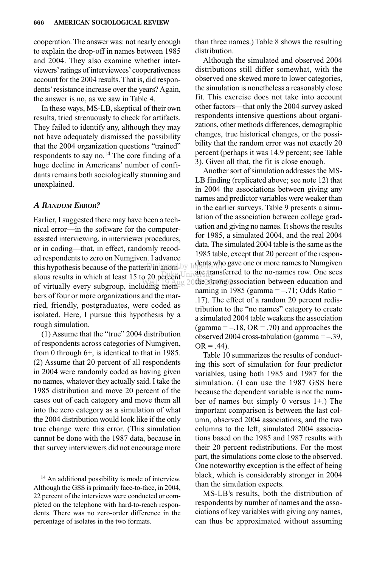cooperation. The answer was: not nearly enough to explain the drop-off in names between 1985 and 2004. They also examine whether interviewers'ratings of interviewees'cooperativeness account for the 2004 results. That is, did respondents'resistance increase over the years? Again, the answer is no, as we saw in Table 4.

In these ways, MS-LB, skeptical of their own results, tried strenuously to check for artifacts. They failed to identify any, although they may not have adequately dismissed the possibility that the 2004 organization questions "trained" respondents to say no.<sup>14</sup> The core finding of a huge decline in Americans' number of confidants remains both sociologically stunning and unexplained.

# *A RANDOM ERROR?*

Earlier, I suggested there may have been a technical error—in the software for the computerassisted interviewing, in interviewer procedures, or in coding—that, in effect, randomly recoded respondents to zero on Numgiven. I advance this hypothesis because of the pattern in anom-by Ingenta to  $\epsilon$ . alous results in which at least 15 to 20 percent University of virtually every subgroup, including members of four or more organizations and the married, friendly, postgraduates, were coded as isolated. Here, I pursue this hypothesis by a rough simulation.

(1) Assume that the "true" 2004 distribution of respondents across categories of Numgiven, from 0 through 6+, is identical to that in 1985. (2) Assume that 20 percent of all respondents in 2004 were randomly coded as having given no names, whatever they actually said. I take the 1985 distribution and move 20 percent of the cases out of each category and move them all into the zero category as a simulation of what the 2004 distribution would look like if the only true change were this error. (This simulation cannot be done with the 1987 data, because in that survey interviewers did not encourage more than three names.) Table 8 shows the resulting distribution.

Although the simulated and observed 2004 distributions still differ somewhat, with the observed one skewed more to lower categories, the simulation is nonetheless a reasonably close fit. This exercise does not take into account other factors—that only the 2004 survey asked respondents intensive questions about organizations, other methods differences, demographic changes, true historical changes, or the possibility that the random error was not exactly 20 percent (perhaps it was 14.9 percent; see Table 3). Given all that, the fit is close enough.

Another sort of simulation addresses the MS-LB finding (replicated above; see note 12) that in 2004 the associations between giving any names and predictor variables were weaker than in the earlier surveys. Table 9 presents a simulation of the association between college graduation and giving no names. It shows the results for 1985, a simulated 2004, and the real 2004 data. The simulated 2004 table is the same as the 1985 table, except that 20 percent of the respondents who gave one or more names to Numgiven are transferred to the no-names row. One sees Wed, 19 Aug 20the strong association between education and naming in 1985 (gamma  $=-.71$ ; Odds Ratio  $=$ .17). The effect of a random 20 percent redistribution to the "no names" category to create a simulated 2004 table weakens the association (gamma  $=-.18$ , OR  $= .70$ ) and approaches the observed 2004 cross-tabulation (gamma  $=-.39$ ,  $OR = .44$ ).

> Table 10 summarizes the results of conducting this sort of simulation for four predictor variables, using both 1985 and 1987 for the simulation. (I can use the 1987 GSS here because the dependent variable is not the number of names but simply 0 versus 1+.) The important comparison is between the last column, observed 2004 associations, and the two columns to the left, simulated 2004 associations based on the 1985 and 1987 results with their 20 percent redistributions. For the most part, the simulations come close to the observed. One noteworthy exception is the effect of being black, which is considerably stronger in 2004 than the simulation expects.

> MS-LB's results, both the distribution of respondents by number of names and the associations of key variables with giving any names, can thus be approximated without assuming

<sup>14</sup> An additional possibility is mode of interview. Although the GSS is primarily face-to-face, in 2004, 22 percent of the interviews were conducted or completed on the telephone with hard-to-reach respondents. There was no zero-order difference in the percentage of isolates in the two formats.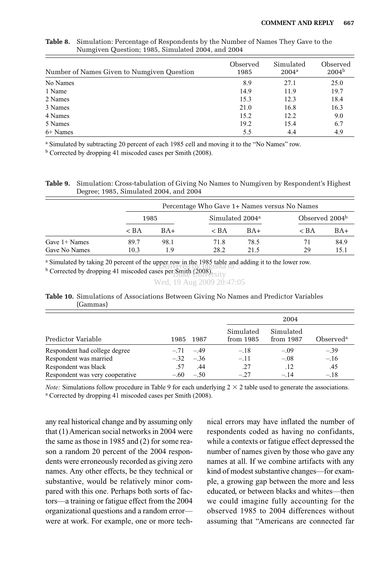| Number of Names Given to Numgiven Question | Observed<br>1985 | Simulated<br>$2004^{\rm a}$ | Observed<br>$2004^{b}$ |
|--------------------------------------------|------------------|-----------------------------|------------------------|
| No Names                                   | 8.9              | 27.1                        | 25.0                   |
| 1 Name                                     | 14.9             | 11.9                        | 19.7                   |
| 2 Names                                    | 15.3             | 12.3                        | 18.4                   |
| 3 Names                                    | 21.0             | 16.8                        | 16.3                   |
| 4 Names                                    | 15.2             | 12.2                        | 9.0                    |
| 5 Names                                    | 19.2             | 15.4                        | 6.7                    |
| 6+ Names                                   | 5.5              | 4.4                         | 4.9                    |

**Table 8.** Simulation: Percentage of Respondents by the Number of Names They Gave to the Numgiven Question; 1985, Simulated 2004, and 2004

<sup>a</sup> Simulated by subtracting 20 percent of each 1985 cell and moving it to the "No Names" row.

<sup>b</sup> Corrected by dropping 41 miscoded cases per Smith (2008).

**Table 9.** Simulation: Cross-tabulation of Giving No Names to Numgiven by Respondent's Highest Degree; 1985, Simulated 2004, and 2004

|                                  |              | Percentage Who Gave 1+ Names versus No Names |                             |              |                            |              |  |
|----------------------------------|--------------|----------------------------------------------|-----------------------------|--------------|----------------------------|--------------|--|
|                                  | 1985         |                                              | Simulated 2004 <sup>a</sup> |              | Observed 2004 <sup>b</sup> |              |  |
|                                  | $\rm < BA$   | $BA+$                                        | $\rm < BA$                  | $BA+$        | $\rm < BA$                 | BA+          |  |
| Gave $1+$ Names<br>Gave No Names | 89.7<br>10.3 | 98.1<br>19                                   | 71.8<br>28.2                | 78.5<br>21.5 | 71<br>29                   | 84.9<br>15.1 |  |

<sup>a</sup> Simulated by taking 20 percent of the upper row in the 1985 table and adding it to the lower row.

 $\frac{b}{b}$  Corrected by dropping 41 miscoded cases per Smith (2008). The state of  $\frac{b}{c}$ . Duke University

```
Wed, 19 Aug 2009 20:47:05
```
# **Table 10.** Simulations of Associations Between Giving No Names and Predictor Variables (Gammas)

|                                 |      | 1987         | 2004                   |                        |                       |
|---------------------------------|------|--------------|------------------------|------------------------|-----------------------|
| Predictor Variable              | 1985 |              | Simulated<br>from 1985 | Simulated<br>from 1987 | Observed <sup>a</sup> |
| Respondent had college degree   |      | $-.71 - .49$ | $-.18$                 | $-.09$                 | $-.39$                |
| Respondent was married          |      | $-.32 - .36$ | $-.11$                 | $-.08$                 | $-.16$                |
| Respondent was black            | .57  | .44          | .27                    | .12                    | .45                   |
| Respondent was very cooperative |      | $-.60 - .50$ | $-27$                  | $-14$                  | $-.18$                |

*Note:* Simulations follow procedure in Table 9 for each underlying  $2 \times 2$  table used to generate the associations. <sup>a</sup> Corrected by dropping 41 miscoded cases per Smith (2008).

any real historical change and by assuming only that (1) American social networks in 2004 were the same as those in 1985 and (2) for some reason a random 20 percent of the 2004 respondents were erroneously recorded as giving zero names. Any other effects, be they technical or substantive, would be relatively minor compared with this one. Perhaps both sorts of factors—a training or fatigue effect from the 2004 organizational questions and a random error were at work. For example, one or more technical errors may have inflated the number of respondents coded as having no confidants, while a contexts or fatigue effect depressed the number of names given by those who gave any names at all. If we combine artifacts with any kind of modest substantive changes—for example, a growing gap between the more and less educated, or between blacks and whites—then we could imagine fully accounting for the observed 1985 to 2004 differences without assuming that "Americans are connected far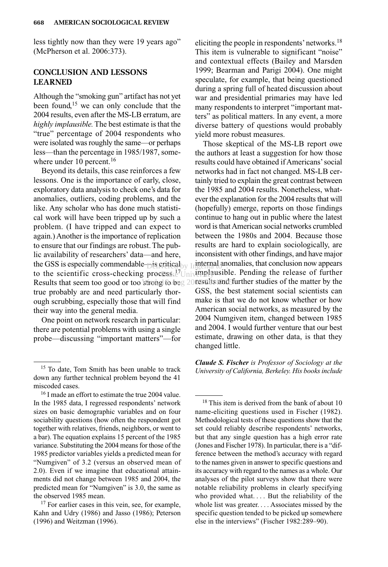less tightly now than they were 19 years ago" (McPherson et al. 2006:373).

# **CONCLUSION AND LESSONS LEARNED**

Although the "smoking gun" artifact has not yet been found,<sup>15</sup> we can only conclude that the 2004 results, even after the MS-LB erratum, are *highly implausible.*The best estimate is that the "true" percentage of 2004 respondents who were isolated was roughly the same—or perhaps less—than the percentage in 1985/1987, somewhere under 10 percent.<sup>16</sup>

Beyond its details, this case reinforces a few lessons. One is the importance of early, close, exploratory data analysis to check one's data for anomalies, outliers, coding problems, and the like. Any scholar who has done much statistical work will have been tripped up by such a problem. (I have tripped and can expect to again.) Another is the importance of replication to ensure that our findings are robust. The public availability of researchers' data—and here, the GSS is especially commendable—is critical the GSS is especially commendable  $\log_{10}$  is critical<sub>by In</sub>guernal anomalies, that conclusion now appears to the scientific cross-checking process.<sup>17</sup>Universed by Inglation and the release of further Results that seem too good or too strong to beg 20tesults and further studies of the matter by the true probably are and need particularly thorough scrubbing, especially those that will find their way into the general media. ess.e<sup>7</sup>Univ**impla:** 

One point on network research in particular: there are potential problems with using a single probe—discussing "important matters"—for

eliciting the people in respondents'networks.18 This item is vulnerable to significant "noise" and contextual effects (Bailey and Marsden 1999; Bearman and Parigi 2004). One might speculate, for example, that being questioned during a spring full of heated discussion about war and presidential primaries may have led many respondents to interpret "important matters" as political matters. In any event, a more diverse battery of questions would probably yield more robust measures.

Those skeptical of the MS-LB report owe the authors at least a suggestion for how those results could have obtained if Americans'social networks had in fact not changed. MS-LB certainly tried to explain the great contrast between the 1985 and 2004 results. Nonetheless, whatever the explanation for the 2004 results that will (hopefully) emerge, reports on those findings continue to hang out in public where the latest word is that American social networks crumbled between the 1980s and 2004. Because those results are hard to explain sociologically, are inconsistent with other findings, and have major internal anomalies, that conclusion now appears GSS, the best statement social scientists can make is that we do not know whether or how American social networks, as measured by the 2004 Numgiven item, changed between 1985 and 2004. I would further venture that our best estimate, drawing on other data, is that they changed little.

*Claude S. Fischer is Professor of Sociology at the University of California, Berkeley. His books include*

<sup>&</sup>lt;sup>15</sup> To date, Tom Smith has been unable to track down any further technical problem beyond the 41 miscoded cases.

<sup>&</sup>lt;sup>16</sup> I made an effort to estimate the true 2004 value. In the 1985 data, I regressed respondents' network sizes on basic demographic variables and on four sociability questions (how often the respondent got together with relatives, friends, neighbors, or went to a bar). The equation explains 15 percent of the 1985 variance. Substituting the 2004 means for those of the 1985 predictor variables yields a predicted mean for "Numgiven" of 3.2 (versus an observed mean of 2.0). Even if we imagine that educational attainments did not change between 1985 and 2004, the predicted mean for "Numgiven" is 3.0, the same as the observed 1985 mean.

<sup>&</sup>lt;sup>17</sup> For earlier cases in this vein, see, for example, Kahn and Udry (1986) and Jasso (1986); Peterson (1996) and Weitzman (1996).

<sup>&</sup>lt;sup>18</sup> This item is derived from the bank of about 10 name-eliciting questions used in Fischer (1982). Methodological tests of these questions show that the set could reliably describe respondents' networks, but that any single question has a high error rate (Jones and Fischer 1978). In particular, there is a "difference between the method's accuracy with regard to the names given in answer to specific questions and its accuracy with regard to the names as a whole. Our analyses of the pilot surveys show that there were notable reliability problems in clearly specifying who provided what.... But the reliability of the whole list was greater.... Associates missed by the specific question tended to be picked up somewhere else in the interviews" (Fischer 1982:289–90).